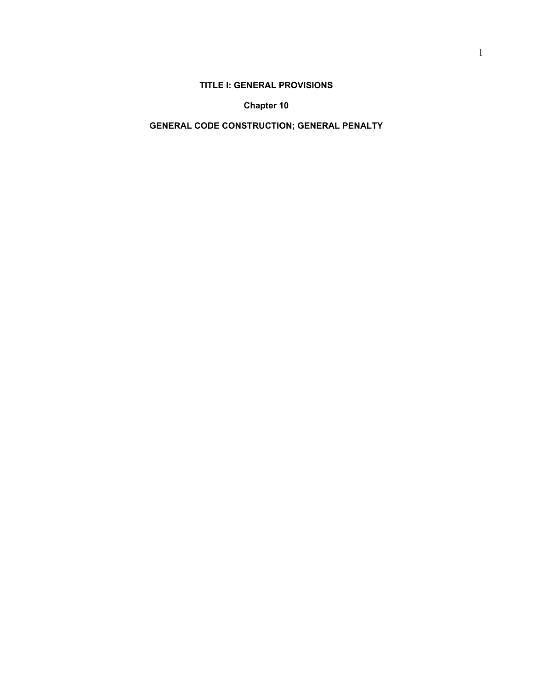# **TITLE I: GENERAL PROVISIONS**

**Chapter 10**

# **GENERAL CODE CONSTRUCTION; GENERAL PENALTY**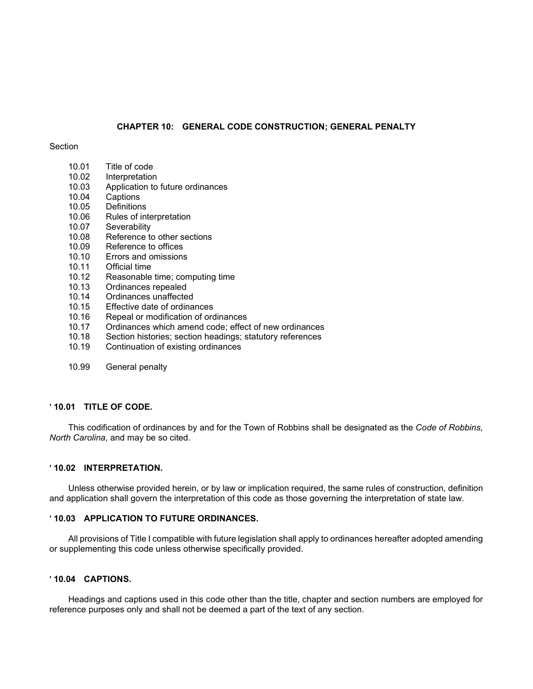# **CHAPTER 10: GENERAL CODE CONSTRUCTION; GENERAL PENALTY**

#### Section

- 10.01 Title of code
- 10.02 Interpretation
- 10.03 Application to future ordinances<br>10.04 Captions
- **Captions**
- 10.05 Definitions
- 10.06 Rules of interpretation<br>10.07 Severability
- Severability
- 10.08 Reference to other sections
- 10.09 Reference to offices<br>10.10 Errors and omissions
- Errors and omissions
- 10.11 Official time
- 10.12 Reasonable time; computing time<br>10.13 Ordinances repealed
- 10.13 Ordinances repealed<br>10.14 Ordinances unaffecte
- 10.14 Ordinances unaffected<br>10.15 Effective date of ordina
- Effective date of ordinances
- 10.16 Repeal or modification of ordinances
- 10.17 Ordinances which amend code; effect of new ordinances
- 10.18 Section histories; section headings; statutory references<br>10.19 Continuation of existing ordinances
- Continuation of existing ordinances
- 10.99 General penalty

# **' 10.01 TITLE OF CODE.**

This codification of ordinances by and for the Town of Robbins shall be designated as the *Code of Robbins, North Carolina*, and may be so cited.

# **' 10.02 INTERPRETATION.**

Unless otherwise provided herein, or by law or implication required, the same rules of construction, definition and application shall govern the interpretation of this code as those governing the interpretation of state law.

# **' 10.03 APPLICATION TO FUTURE ORDINANCES.**

All provisions of Title I compatible with future legislation shall apply to ordinances hereafter adopted amending or supplementing this code unless otherwise specifically provided.

# **' 10.04 CAPTIONS.**

Headings and captions used in this code other than the title, chapter and section numbers are employed for reference purposes only and shall not be deemed a part of the text of any section.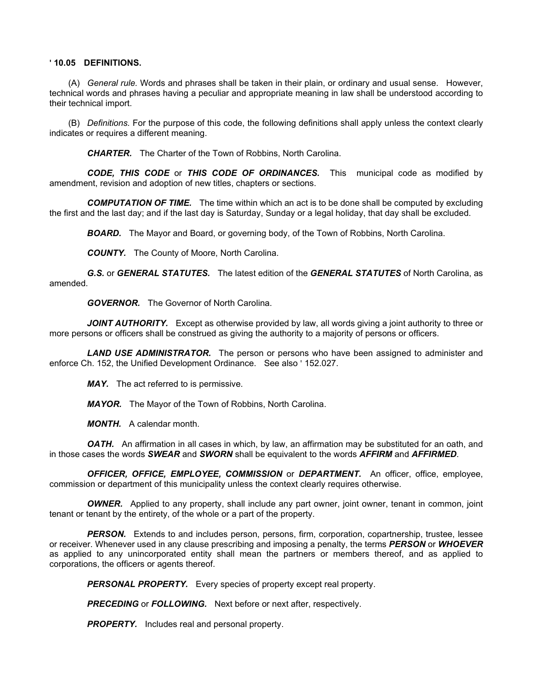## **' 10.05 DEFINITIONS.**

(A) *General rule.* Words and phrases shall be taken in their plain, or ordinary and usual sense. However, technical words and phrases having a peculiar and appropriate meaning in law shall be understood according to their technical import.

(B) *Definitions.* For the purpose of this code, the following definitions shall apply unless the context clearly indicates or requires a different meaning.

*CHARTER.* The Charter of the Town of Robbins, North Carolina.

*CODE, THIS CODE* or *THIS CODE OF ORDINANCES.* This municipal code as modified by amendment, revision and adoption of new titles, chapters or sections.

*COMPUTATION OF TIME.* The time within which an act is to be done shall be computed by excluding the first and the last day; and if the last day is Saturday, Sunday or a legal holiday, that day shall be excluded.

*BOARD.* The Mayor and Board, or governing body, of the Town of Robbins, North Carolina.

*COUNTY.* The County of Moore, North Carolina.

*G.S.* or *GENERAL STATUTES.* The latest edition of the *GENERAL STATUTES* of North Carolina, as amended.

*GOVERNOR.* The Governor of North Carolina.

JOINT AUTHORITY. Except as otherwise provided by law, all words giving a joint authority to three or more persons or officers shall be construed as giving the authority to a majority of persons or officers.

**LAND USE ADMINISTRATOR.** The person or persons who have been assigned to administer and enforce Ch. 152, the Unified Development Ordinance. See also ' 152.027.

*MAY.* The act referred to is permissive.

*MAYOR.* The Mayor of the Town of Robbins, North Carolina.

*MONTH.* A calendar month.

*OATH.* An affirmation in all cases in which, by law, an affirmation may be substituted for an oath, and in those cases the words *SWEAR* and *SWORN* shall be equivalent to the words *AFFIRM* and *AFFIRMED*.

*OFFICER, OFFICE, EMPLOYEE, COMMISSION* or *DEPARTMENT.* An officer, office, employee, commission or department of this municipality unless the context clearly requires otherwise.

*OWNER.* Applied to any property, shall include any part owner, joint owner, tenant in common, joint tenant or tenant by the entirety, of the whole or a part of the property.

**PERSON.** Extends to and includes person, persons, firm, corporation, copartnership, trustee, lessee or receiver. Whenever used in any clause prescribing and imposing a penalty, the terms *PERSON* or *WHOEVER* as applied to any unincorporated entity shall mean the partners or members thereof, and as applied to corporations, the officers or agents thereof.

**PERSONAL PROPERTY.** Every species of property except real property.

*PRECEDING* or *FOLLOWING.* Next before or next after, respectively.

*PROPERTY.* Includes real and personal property.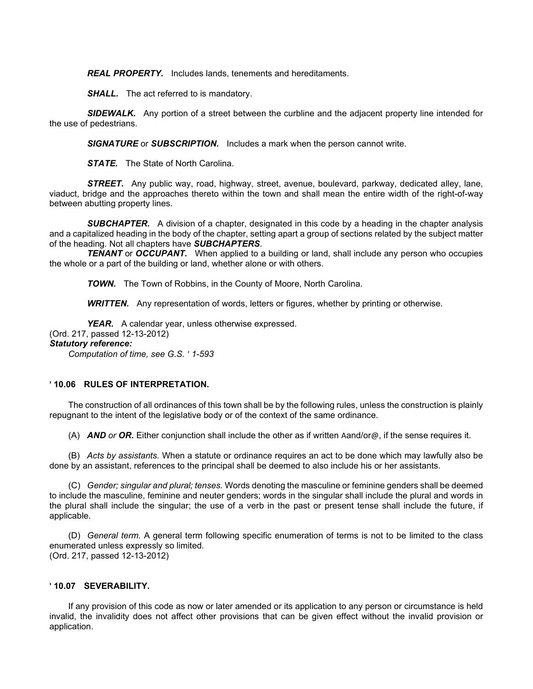*REAL PROPERTY.* Includes lands, tenements and hereditaments.

*SHALL.* The act referred to is mandatory.

**SIDEWALK.** Any portion of a street between the curbline and the adjacent property line intended for the use of pedestrians.

*SIGNATURE* or *SUBSCRIPTION.* Includes a mark when the person cannot write.

*STATE.* The State of North Carolina.

*STREET.* Any public way, road, highway, street, avenue, boulevard, parkway, dedicated alley, lane, viaduct, bridge and the approaches thereto within the town and shall mean the entire width of the right-of-way between abutting property lines.

*SUBCHAPTER.* A division of a chapter, designated in this code by a heading in the chapter analysis and a capitalized heading in the body of the chapter, setting apart a group of sections related by the subject matter of the heading. Not all chapters have *SUBCHAPTERS*.

**TENANT** or **OCCUPANT.** When applied to a building or land, shall include any person who occupies the whole or a part of the building or land, whether alone or with others.

*TOWN.* The Town of Robbins, in the County of Moore, North Carolina.

*WRITTEN.* Any representation of words, letters or figures, whether by printing or otherwise.

**YEAR.** A calendar year, unless otherwise expressed. (Ord. 217, passed 12-13-2012) *Statutory reference: Computation of time, see G.S. ' 1-593*

# **' 10.06 RULES OF INTERPRETATION.**

The construction of all ordinances of this town shall be by the following rules, unless the construction is plainly repugnant to the intent of the legislative body or of the context of the same ordinance.

(A) *AND or OR.* Either conjunction shall include the other as if written Aand/or@, if the sense requires it.

(B) *Acts by assistants.* When a statute or ordinance requires an act to be done which may lawfully also be done by an assistant, references to the principal shall be deemed to also include his or her assistants.

(C) *Gender; singular and plural; tenses.* Words denoting the masculine or feminine genders shall be deemed to include the masculine, feminine and neuter genders; words in the singular shall include the plural and words in the plural shall include the singular; the use of a verb in the past or present tense shall include the future, if applicable.

(D) *General term.* A general term following specific enumeration of terms is not to be limited to the class enumerated unless expressly so limited. (Ord. 217, passed 12-13-2012)

# **' 10.07 SEVERABILITY.**

If any provision of this code as now or later amended or its application to any person or circumstance is held invalid, the invalidity does not affect other provisions that can be given effect without the invalid provision or application.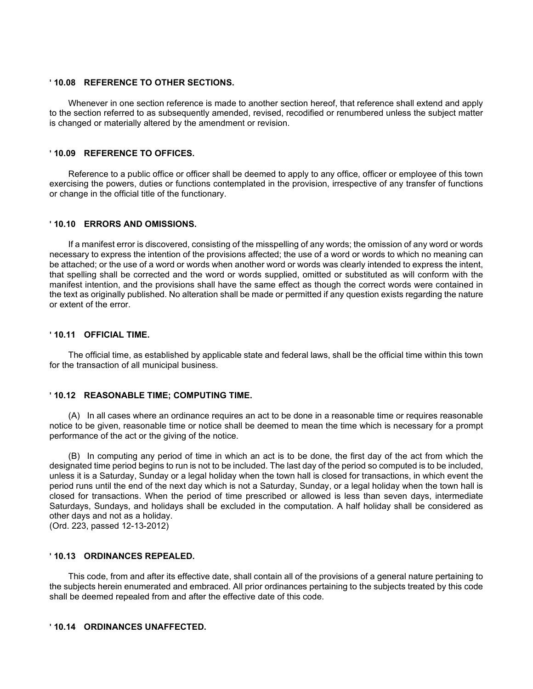# **' 10.08 REFERENCE TO OTHER SECTIONS.**

Whenever in one section reference is made to another section hereof, that reference shall extend and apply to the section referred to as subsequently amended, revised, recodified or renumbered unless the subject matter is changed or materially altered by the amendment or revision.

### **' 10.09 REFERENCE TO OFFICES.**

Reference to a public office or officer shall be deemed to apply to any office, officer or employee of this town exercising the powers, duties or functions contemplated in the provision, irrespective of any transfer of functions or change in the official title of the functionary.

### **' 10.10 ERRORS AND OMISSIONS.**

If a manifest error is discovered, consisting of the misspelling of any words; the omission of any word or words necessary to express the intention of the provisions affected; the use of a word or words to which no meaning can be attached; or the use of a word or words when another word or words was clearly intended to express the intent, that spelling shall be corrected and the word or words supplied, omitted or substituted as will conform with the manifest intention, and the provisions shall have the same effect as though the correct words were contained in the text as originally published. No alteration shall be made or permitted if any question exists regarding the nature or extent of the error.

#### **' 10.11 OFFICIAL TIME.**

The official time, as established by applicable state and federal laws, shall be the official time within this town for the transaction of all municipal business.

#### **' 10.12 REASONABLE TIME; COMPUTING TIME.**

(A) In all cases where an ordinance requires an act to be done in a reasonable time or requires reasonable notice to be given, reasonable time or notice shall be deemed to mean the time which is necessary for a prompt performance of the act or the giving of the notice.

(B) In computing any period of time in which an act is to be done, the first day of the act from which the designated time period begins to run is not to be included. The last day of the period so computed is to be included, unless it is a Saturday, Sunday or a legal holiday when the town hall is closed for transactions, in which event the period runs until the end of the next day which is not a Saturday, Sunday, or a legal holiday when the town hall is closed for transactions. When the period of time prescribed or allowed is less than seven days, intermediate Saturdays, Sundays, and holidays shall be excluded in the computation. A half holiday shall be considered as other days and not as a holiday.

(Ord. 223, passed 12-13-2012)

#### **' 10.13 ORDINANCES REPEALED.**

This code, from and after its effective date, shall contain all of the provisions of a general nature pertaining to the subjects herein enumerated and embraced. All prior ordinances pertaining to the subjects treated by this code shall be deemed repealed from and after the effective date of this code.

#### **' 10.14 ORDINANCES UNAFFECTED.**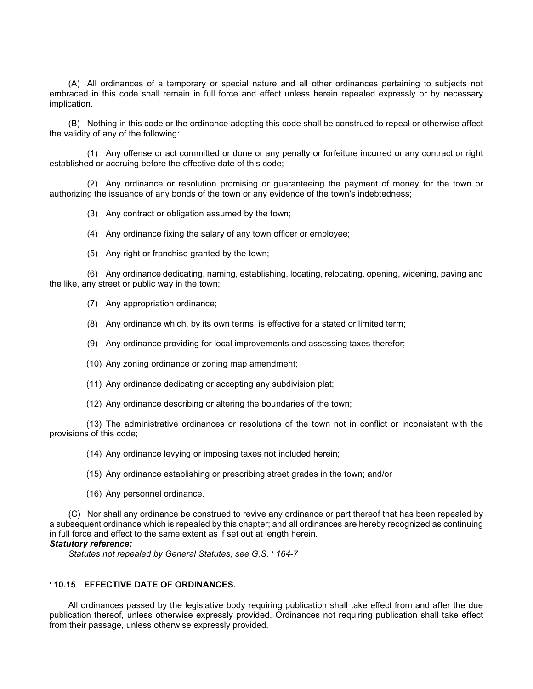(A) All ordinances of a temporary or special nature and all other ordinances pertaining to subjects not embraced in this code shall remain in full force and effect unless herein repealed expressly or by necessary implication.

(B) Nothing in this code or the ordinance adopting this code shall be construed to repeal or otherwise affect the validity of any of the following:

(1) Any offense or act committed or done or any penalty or forfeiture incurred or any contract or right established or accruing before the effective date of this code;

(2) Any ordinance or resolution promising or guaranteeing the payment of money for the town or authorizing the issuance of any bonds of the town or any evidence of the town's indebtedness;

(3) Any contract or obligation assumed by the town;

(4) Any ordinance fixing the salary of any town officer or employee;

(5) Any right or franchise granted by the town;

(6) Any ordinance dedicating, naming, establishing, locating, relocating, opening, widening, paving and the like, any street or public way in the town;

- (7) Any appropriation ordinance;
- (8) Any ordinance which, by its own terms, is effective for a stated or limited term;
- (9) Any ordinance providing for local improvements and assessing taxes therefor;
- (10) Any zoning ordinance or zoning map amendment;
- (11) Any ordinance dedicating or accepting any subdivision plat;
- (12) Any ordinance describing or altering the boundaries of the town;

(13) The administrative ordinances or resolutions of the town not in conflict or inconsistent with the provisions of this code;

(14) Any ordinance levying or imposing taxes not included herein;

(15) Any ordinance establishing or prescribing street grades in the town; and/or

(16) Any personnel ordinance.

(C) Nor shall any ordinance be construed to revive any ordinance or part thereof that has been repealed by a subsequent ordinance which is repealed by this chapter; and all ordinances are hereby recognized as continuing in full force and effect to the same extent as if set out at length herein.

### *Statutory reference:*

*Statutes not repealed by General Statutes, see G.S. ' 164-7*

#### **' 10.15 EFFECTIVE DATE OF ORDINANCES.**

All ordinances passed by the legislative body requiring publication shall take effect from and after the due publication thereof, unless otherwise expressly provided. Ordinances not requiring publication shall take effect from their passage, unless otherwise expressly provided.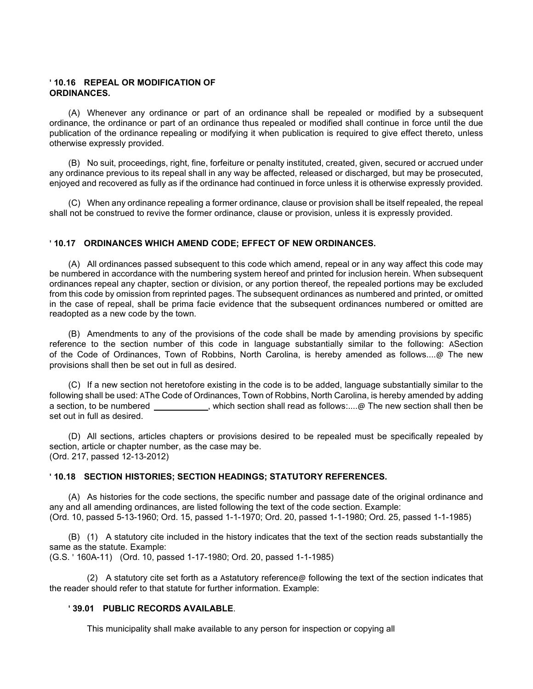# **' 10.16 REPEAL OR MODIFICATION OF ORDINANCES.**

(A) Whenever any ordinance or part of an ordinance shall be repealed or modified by a subsequent ordinance, the ordinance or part of an ordinance thus repealed or modified shall continue in force until the due publication of the ordinance repealing or modifying it when publication is required to give effect thereto, unless otherwise expressly provided.

(B) No suit, proceedings, right, fine, forfeiture or penalty instituted, created, given, secured or accrued under any ordinance previous to its repeal shall in any way be affected, released or discharged, but may be prosecuted, enjoyed and recovered as fully as if the ordinance had continued in force unless it is otherwise expressly provided.

(C) When any ordinance repealing a former ordinance, clause or provision shall be itself repealed, the repeal shall not be construed to revive the former ordinance, clause or provision, unless it is expressly provided.

# **' 10.17 ORDINANCES WHICH AMEND CODE; EFFECT OF NEW ORDINANCES.**

(A) All ordinances passed subsequent to this code which amend, repeal or in any way affect this code may be numbered in accordance with the numbering system hereof and printed for inclusion herein. When subsequent ordinances repeal any chapter, section or division, or any portion thereof, the repealed portions may be excluded from this code by omission from reprinted pages. The subsequent ordinances as numbered and printed, or omitted in the case of repeal, shall be prima facie evidence that the subsequent ordinances numbered or omitted are readopted as a new code by the town.

(B) Amendments to any of the provisions of the code shall be made by amending provisions by specific reference to the section number of this code in language substantially similar to the following: ASection of the Code of Ordinances, Town of Robbins, North Carolina, is hereby amended as follows....@ The new provisions shall then be set out in full as desired.

(C) If a new section not heretofore existing in the code is to be added, language substantially similar to the following shall be used: AThe Code of Ordinances, Town of Robbins, North Carolina, is hereby amended by adding a section, to be numbered , which section shall read as follows:....@ The new section shall then be set out in full as desired.

(D) All sections, articles chapters or provisions desired to be repealed must be specifically repealed by section, article or chapter number, as the case may be. (Ord. 217, passed 12-13-2012)

# **' 10.18 SECTION HISTORIES; SECTION HEADINGS; STATUTORY REFERENCES.**

(A) As histories for the code sections, the specific number and passage date of the original ordinance and any and all amending ordinances, are listed following the text of the code section. Example: (Ord. 10, passed 5-13-1960; Ord. 15, passed 1-1-1970; Ord. 20, passed 1-1-1980; Ord. 25, passed 1-1-1985)

(B) (1) A statutory cite included in the history indicates that the text of the section reads substantially the same as the statute. Example:

(G.S. ' 160A-11) (Ord. 10, passed 1-17-1980; Ord. 20, passed 1-1-1985)

(2) A statutory cite set forth as a Astatutory reference@ following the text of the section indicates that the reader should refer to that statute for further information. Example:

### **' 39.01 PUBLIC RECORDS AVAILABLE**.

This municipality shall make available to any person for inspection or copying all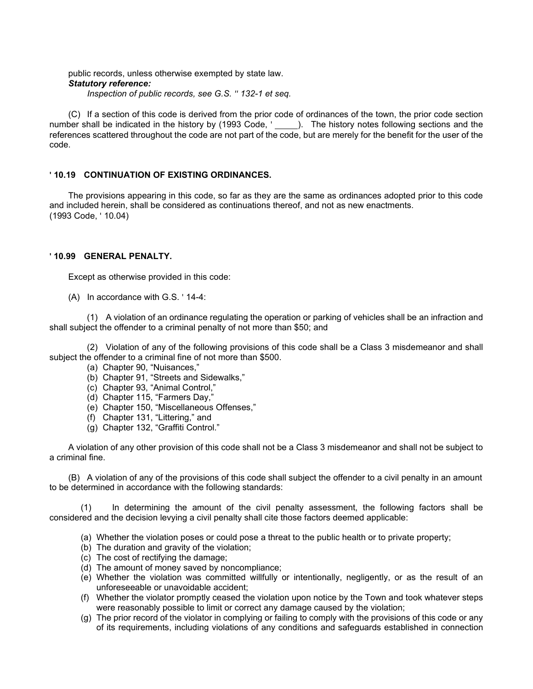public records, unless otherwise exempted by state law. *Statutory reference: Inspection of public records, see G.S. '' 132-1 et seq.*

(C) If a section of this code is derived from the prior code of ordinances of the town, the prior code section number shall be indicated in the history by (1993 Code, '\_\_\_\_\_). The history notes following sections and the references scattered throughout the code are not part of the code, but are merely for the benefit for the user of the code.

# **' 10.19 CONTINUATION OF EXISTING ORDINANCES.**

The provisions appearing in this code, so far as they are the same as ordinances adopted prior to this code and included herein, shall be considered as continuations thereof, and not as new enactments. (1993 Code, ' 10.04)

# **' 10.99 GENERAL PENALTY.**

Except as otherwise provided in this code:

(A) In accordance with G.S. ' 14-4:

(1) A violation of an ordinance regulating the operation or parking of vehicles shall be an infraction and shall subject the offender to a criminal penalty of not more than \$50; and

(2) Violation of any of the following provisions of this code shall be a Class 3 misdemeanor and shall subject the offender to a criminal fine of not more than \$500.

- (a) Chapter 90, "Nuisances,"
- (b) Chapter 91, "Streets and Sidewalks,"
- (c) Chapter 93, "Animal Control,"
- (d) Chapter 115, "Farmers Day,"
- (e) Chapter 150, "Miscellaneous Offenses,"
- (f) Chapter 131, "Littering," and
- (g) Chapter 132, "Graffiti Control."

A violation of any other provision of this code shall not be a Class 3 misdemeanor and shall not be subject to a criminal fine.

(B) A violation of any of the provisions of this code shall subject the offender to a civil penalty in an amount to be determined in accordance with the following standards:

(1) In determining the amount of the civil penalty assessment, the following factors shall be considered and the decision levying a civil penalty shall cite those factors deemed applicable:

- (a) Whether the violation poses or could pose a threat to the public health or to private property;
- (b) The duration and gravity of the violation;
- (c) The cost of rectifying the damage;
- (d) The amount of money saved by noncompliance;
- (e) Whether the violation was committed willfully or intentionally, negligently, or as the result of an unforeseeable or unavoidable accident;
- (f) Whether the violator promptly ceased the violation upon notice by the Town and took whatever steps were reasonably possible to limit or correct any damage caused by the violation;
- (g) The prior record of the violator in complying or failing to comply with the provisions of this code or any of its requirements, including violations of any conditions and safeguards established in connection